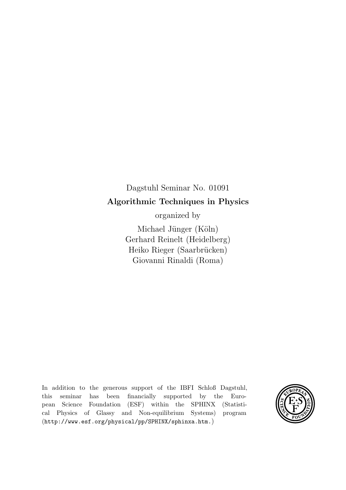# Dagstuhl Seminar No. 01091 Algorithmic Techniques in Physics

organized by

Michael Jünger (Köln) Gerhard Reinelt (Heidelberg) Heiko Rieger (Saarbrücken) Giovanni Rinaldi (Roma)

In addition to the generous support of the IBFI Schloß Dagstuhl, this seminar has been financially supported by the European Science Foundation (ESF) within the SPHINX (Statistical Physics of Glassy and Non-equilibrium Systems) program (http://www.esf.org/physical/pp/SPHINX/sphinxa.htm.)

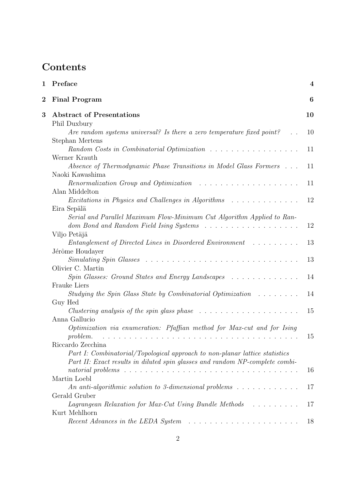# **Contents**

| $\mathbf 1$      | Preface                                                                                                                   | $\boldsymbol{4}$ |
|------------------|---------------------------------------------------------------------------------------------------------------------------|------------------|
| $\boldsymbol{2}$ | <b>Final Program</b>                                                                                                      | 6                |
| 3                | <b>Abstract of Presentations</b>                                                                                          | 10               |
|                  | Phil Duxbury                                                                                                              |                  |
|                  | Are random systems universal? Is there a zero temperature fixed point?                                                    | 10               |
|                  | Stephan Mertens                                                                                                           |                  |
|                  |                                                                                                                           | 11               |
|                  | Werner Krauth                                                                                                             |                  |
|                  | Absence of Thermodynamic Phase Transitions in Model Glass Formers<br>Naoki Kawashima                                      | 11               |
|                  | Renormalization Group and Optimization                                                                                    | 11               |
|                  | Alan Middelton                                                                                                            |                  |
|                  | Excitations in Physics and Challenges in Algorithms                                                                       | 12               |
|                  | Eira Sepälä                                                                                                               |                  |
|                  | Serial and Parallel Maximum Flow-Minimum Cut Algorithm Applied to Ran-                                                    |                  |
|                  | dom Bond and Random Field Ising Systems                                                                                   | 12               |
|                  | Viljo Petäjä                                                                                                              |                  |
|                  | Entanglement of Directed Lines in Disordered Environment                                                                  | 13               |
|                  | Jérôme Houdayer                                                                                                           |                  |
|                  |                                                                                                                           | 13               |
|                  | Olivier C. Martin                                                                                                         |                  |
|                  | Spin Glasses: Ground States and Energy Landscapes                                                                         | 14               |
|                  | <b>Frauke Liers</b>                                                                                                       |                  |
|                  | Studying the Spin Glass State by Combinatorial Optimization $\ldots \ldots$                                               | 14               |
|                  | Guy Hed                                                                                                                   |                  |
|                  | <i>Clustering analysis of the spin glass phase</i> $\ldots \ldots \ldots \ldots \ldots \ldots \ldots$                     | 15               |
|                  | Anna Gallucio                                                                                                             |                  |
|                  | Optimization via enumeration: Pfaffian method for Max-cut and for Ising<br>problem.                                       | 15               |
|                  | Riccardo Zecchina                                                                                                         |                  |
|                  | Part I: Combinatorial/Topological approach to non-planar lattice statistics                                               |                  |
|                  | Part II: Exact results in diluted spin glasses and random NP-complete combi-                                              |                  |
|                  |                                                                                                                           | 16               |
|                  | Martin Loebl                                                                                                              |                  |
|                  | An anti-algorithmic solution to 3-dimensional problems $\dots \dots \dots \dots$                                          | 17               |
|                  | Gerald Gruber                                                                                                             |                  |
|                  | Lagrangean Relaxation for Max-Cut Using Bundle Methods                                                                    | 17               |
|                  | Kurt Mehlhorn                                                                                                             |                  |
|                  | Recent Advances in the LEDA System<br>$\mathcal{A}$ . The second contribution of the second contribution of $\mathcal{A}$ | 18               |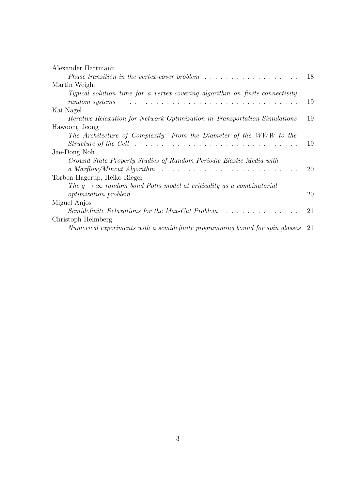| Alexander Hartmann                                                                                                                                                                                 |    |
|----------------------------------------------------------------------------------------------------------------------------------------------------------------------------------------------------|----|
|                                                                                                                                                                                                    | 18 |
| Martin Weight                                                                                                                                                                                      |    |
| Typical solution time for a vertex-covering algorithm on finite-connectivity<br>$random\;systems \quad \ldots \ldots \ldots \ldots \ldots \ldots \ldots \ldots \ldots \ldots \ldots \ldots \ldots$ | 19 |
| Kai Nagel                                                                                                                                                                                          |    |
| <i>Iterative Relaxation for Network Optimization in Transportation Simulations</i>                                                                                                                 | 19 |
| Hawoong Jeong                                                                                                                                                                                      |    |
| The Architecture of Complexity: From the Diameter of the WWW to the                                                                                                                                |    |
| Structure of the Cell $\ldots \ldots \ldots \ldots \ldots \ldots \ldots \ldots \ldots \ldots \ldots \ldots$                                                                                        | 19 |
| Jae-Dong Noh                                                                                                                                                                                       |    |
| Ground State Property Studies of Random Periodic Elastic Media with                                                                                                                                |    |
| a Maxflow/Mincut Algorithm $\ldots \ldots \ldots \ldots \ldots \ldots \ldots \ldots \ldots \ldots$                                                                                                 | 20 |
| Torben Hagerup, Heiko Rieger                                                                                                                                                                       |    |
| The $q \rightarrow \infty$ random bond Potts model at criticality as a combinatorial                                                                                                               |    |
|                                                                                                                                                                                                    | 20 |
| Miguel Anjos                                                                                                                                                                                       |    |
| Semidefinite Relaxations for the Max-Cut Problem                                                                                                                                                   | 21 |
| Christoph Helmberg                                                                                                                                                                                 |    |
| Numerical experiments with a semidefinite programming bound for spin glasses                                                                                                                       | 21 |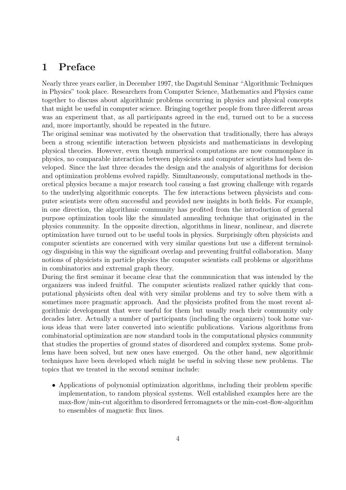## 1 Preface

Nearly three years earlier, in December 1997, the Dagstuhl Seminar "Algorithmic Techniques in Physics" took place. Researchers from Computer Science, Mathematics and Physics came together to discuss about algorithmic problems occurring in physics and physical concepts that might be useful in computer science. Bringing together people from three different areas was an experiment that, as all participants agreed in the end, turned out to be a success and, more importantly, should be repeated in the future.

The original seminar was motivated by the observation that traditionally, there has always been a strong scientific interaction between physicists and mathematicians in developing physical theories. However, even though numerical computations are now commonplace in physics, no comparable interaction between physicists and computer scientists had been developed. Since the last three decades the design and the analysis of algorithms for decision and optimization problems evolved rapidly. Simultaneously, computational methods in theoretical physics became a major research tool causing a fast growing challenge with regards to the underlying algorithmic concepts. The few interactions between physicists and computer scientists were often successful and provided new insights in both fields. For example, in one direction, the algorithmic community has profited from the introduction of general purpose optimization tools like the simulated annealing technique that originated in the physics community. In the opposite direction, algorithms in linear, nonlinear, and discrete optimization have turned out to be useful tools in physics. Surprisingly often physicists and computer scientists are concerned with very similar questions but use a different terminology disguising in this way the significant overlap and preventing fruitful collaboration. Many notions of physicists in particle physics the computer scientists call problems or algorithms in combinatorics and extremal graph theory.

During the first seminar it became clear that the communication that was intended by the organizers was indeed fruitful. The computer scientists realized rather quickly that computational physicists often deal with very similar problems and try to solve them with a sometimes more pragmatic approach. And the physicists profited from the most recent algorithmic development that were useful for them but usually reach their community only decades later. Actually a number of participants (including the organizers) took home various ideas that were later converted into scientific publications. Various algorithms from combinatorial optimization are now standard tools in the computational physics community that studies the properties of ground states of disordered and complex systems. Some problems have been solved, but new ones have emerged. On the other hand, new algorithmic techniques have been developed which might be useful in solving these new problems. The topics that we treated in the second seminar include:

• Applications of polynomial optimization algorithms, including their problem specific implementation, to random physical systems. Well established examples here are the max-flow/min-cut algorithm to disordered ferromagnets or the min-cost-flow-algorithm to ensembles of magnetic flux lines.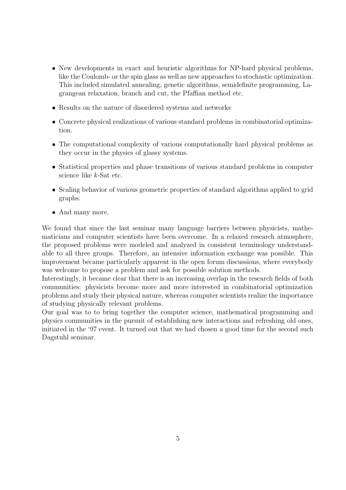- New developments in exact and heuristic algorithms for NP-hard physical problems, like the Coulomb- or the spin glass as well as new approaches to stochastic optimization. This included simulated annealing, genetic algorithms, semidefinite programming, Lagrangean relaxation, branch and cut, the Pfaffian method etc.
- Results on the nature of disordered systems and networks
- Concrete physical realizations of various standard problems in combinatorial optimization.
- The computational complexity of various computationally hard physical problems as they occur in the physics of glassy systems.
- Statistical properties and phase transitions of various standard problems in computer science like k-Sat etc.
- Scaling behavior of various geometric properties of standard algorithms applied to grid graphs.
- And many more.

We found that since the last seminar many language barriers between physicists, mathematicians and computer scientists have been overcome. In a relaxed research atmosphere, the proposed problems were modeled and analyzed in consistent terminology understandable to all three groups. Therefore, an intensive information exchange was possible. This improvement became particularly apparent in the open forum discussions, where everybody was welcome to propose a problem and ask for possible solution methods.

Interestingly, it became clear that there is an increasing overlap in the research fields of both communities: physicists become more and more interested in combinatorial optimization problems and study their physical nature, whereas computer scientists realize the importance of studying physically relevant problems.

Our goal was to to bring together the computer science, mathematical programming and physics communities in the pursuit of establishing new interactions and refreshing old ones, initiated in the '97 event. It turned out that we had chosen a good time for the second such Dagstuhl seminar.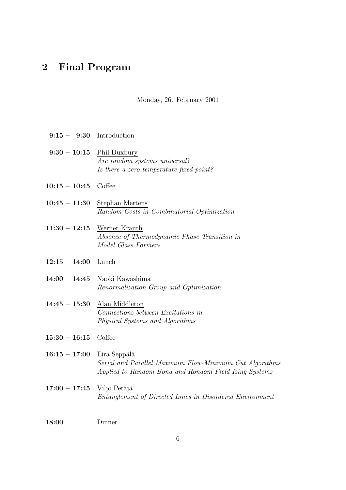## 2 Final Program

9:15 – 9:30 Introduction

Monday, 26. February 2001

9:30 – 10:15 Phil Duxbury Are random systems universal? Is there a zero temperature fixed point? 10:15 – 10:45 Coffee 10:45 – 11:30 Stephan Mertens Random Costs in Combinatorial Optimization 11:30 – 12:15 Werner Krauth Absence of Thermodynamic Phase Transition in Model Glass Formers 12:15 – 14:00 Lunch 14:00 – 14:45 Naoki Kawashima Renormalization Group and Optimization 14:45 – 15:30 Alan Middleton Connections between Excitations in Physical Systems and Algorithms 15:30 – 16:15 Coffee  $16:15 - 17:00$  Eira Seppälä Serial and Parallel Maximum Flow-Minimum Cut Algorithms Applied to Random Bond and Rondom Field Ising Systems  $17:00 - 17:45$  Viljo Petäjä Entanglement of Directed Lines in Disordered Environment 18:00 Dinner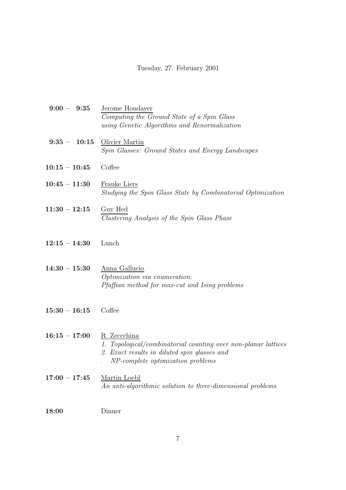## Tuesday, 27. February 2001

| $9:00 - 9:35$   | Jerome Houdayer                                                                   |
|-----------------|-----------------------------------------------------------------------------------|
|                 | Computing the Ground State of a Spin Glass                                        |
|                 | using Genetic Algorithms and Renormalization                                      |
| $9:35 - 10:15$  | Olivier Martin                                                                    |
|                 | Spin Glasses: Ground States and Energy Landscapes                                 |
|                 |                                                                                   |
| $10:15 - 10:45$ | Coffee                                                                            |
| $10:45 - 11:30$ | <b>Frauke Liers</b>                                                               |
|                 | Studying the Spin Glass State by Combinatorial Optimization                       |
|                 |                                                                                   |
| $11:30 - 12:15$ | Guy Hed                                                                           |
|                 | Clustering Analysis of the Spin Glass Phase                                       |
|                 |                                                                                   |
| $12:15 - 14:30$ | Lunch                                                                             |
|                 |                                                                                   |
| $14:30 - 15:30$ |                                                                                   |
|                 | Anna Gallucio<br>Optimization via enumeration:                                    |
|                 | Pfaffian method for max-cut and Ising problems                                    |
|                 |                                                                                   |
| $15:30 - 16:15$ | Coffee                                                                            |
|                 |                                                                                   |
|                 |                                                                                   |
| $16:15 - 17:00$ | R. Zeccchina                                                                      |
|                 | 1. Topological/combinatorial counting over non-planar lattices                    |
|                 | 2. Exact results in diluted spin glasses and<br>NP-complete optimization problems |
|                 |                                                                                   |
| $17:00 - 17:45$ | Martin Loebl                                                                      |
|                 | An anti-algorithmic solution to three-dimensional problems                        |
|                 |                                                                                   |
| 18:00           | Dinner                                                                            |

7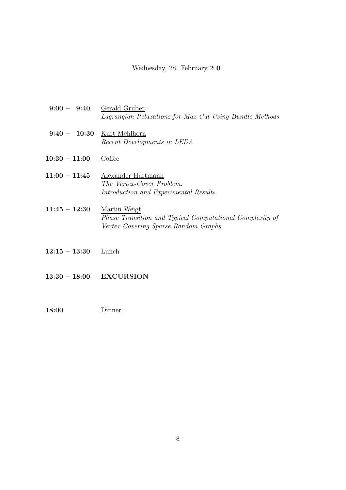#### Wednesday, 28. February 2001

- 9:00 9:40 Gerald Gruber Lagrangian Relaxations for Max-Cut Using Bundle Methods 9:40 – 10:30 Kurt Mehlhorn Recent Developments in LEDA 10:30 – 11:00 Coffee 11:00 – 11:45 Alexander Hartmann The Vertex-Cover Problem: Introduction and Experimental Results 11:45 – 12:30 Martin Weigt Phase Transition and Typical Computational Complexity of Vertex Covering Sparse Random Graphs
- 12:15 13:30 Lunch
- 13:30 18:00 EXCURSION
- 18:00 Dinner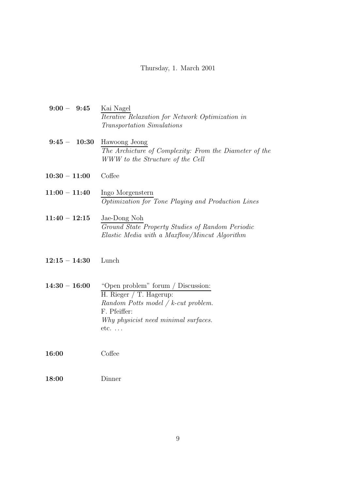#### Thursday, 1. March 2001

- 9:00 9:45 Kai Nagel Iterative Relaxation for Network Optimization in Transportation Simulations
- 9:45 10:30 Hawoong Jeong The Archicture of Complexity: From the Diameter of the WWW to the Structure of the Cell
- 10:30 11:00 Coffee
- $11:00 11:40$  Ingo Morgenstern Optimization for Tone Playing and Production Lines
- $11:40-12:15$  Jae-Dong Noh Ground State Property Studies of Random Periodic Elastic Media with a Maxflow/Mincut Algorithm
- 12:15 14:30 Lunch
- $14:30 16:00$  "Open problem" forum / Discussion: H. Rieger / T. Hagerup: Random Potts model / k-cut problem. F. Pfeiffer: Why physicist need minimal surfaces. etc. . . .

16:00 Coffee

18:00 Dinner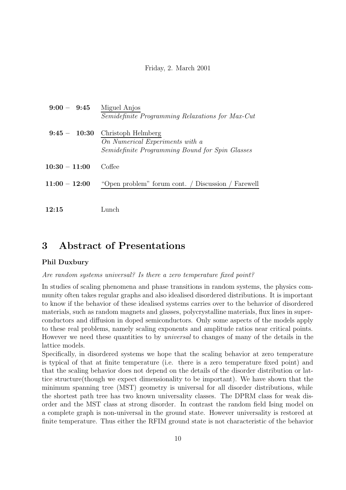#### Friday, 2. March 2001

| $9:00 - 9:45$   | Miguel Anjos<br><i>Semidefinite Programming Relaxations for Max-Cut</i>                                  |
|-----------------|----------------------------------------------------------------------------------------------------------|
| $9:45 - 10:30$  | Christoph Helmberg<br>On Numerical Experiments with a<br>Semidefinite Programming Bound for Spin Glasses |
| $10:30 - 11:00$ | Coffee                                                                                                   |
| $11:00 - 12:00$ | "Open problem" forum cont. / Discussion / Farewell                                                       |
| 12:15           | Lunch                                                                                                    |

## 3 Abstract of Presentations

### Phil Duxbury

Are random systems universal? Is there a zero temperature fixed point?

In studies of scaling phenomena and phase transitions in random systems, the physics community often takes regular graphs and also idealised disordered distributions. It is important to know if the behavior of these idealised systems carries over to the behavior of disordered materials, such as random magnets and glasses, polycrystalline materials, flux lines in superconductors and diffusion in doped semiconductors. Only some aspects of the models apply to these real problems, namely scaling exponents and amplitude ratios near critical points. However we need these quantities to by universal to changes of many of the details in the lattice models.

Specifically, in disordered systems we hope that the scaling behavior at zero temperature is typical of that at finite temperature (i.e. there is a zero temperature fixed point) and that the scaling behavior does not depend on the details of the disorder distribution or lattice structure(though we expect dimensionality to be important). We have shown that the minimum spanning tree (MST) geometry is universal for all disorder distributions, while the shortest path tree has two known universality classes. The DPRM class for weak disorder and the MST class at strong disorder. In contrast the random field Ising model on a complete graph is non-universal in the ground state. However universality is restored at finite temperature. Thus either the RFIM ground state is not characteristic of the behavior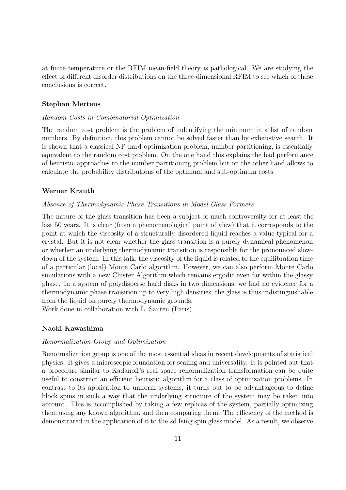at finite temperature or the RFIM mean-field theory is pathological. We are studying the effect of different disorder distributions on the three-dimensional RFIM to see which of these conclusions is correct.

#### Stephan Mertens

#### Random Costs in Combinatorial Optimization

The random cost problem is the problem of indentifying the minimum in a list of random numbers. By definition, this problem cannot be solved faster than by exhaustive search. It is shown that a classical NP-hard optimization problem, number partitioning, is essentially equivalent to the random cost problem. On the one hand this explains the bad performance of heuristic approaches to the number partitioning problem but on the other hand allows to calculate the probability distributions of the optimum and sub-optimum costs.

#### Werner Krauth

#### Absence of Thermodynamic Phase Transitions in Model Glass Formers

The nature of the glass transition has been a subject of much controversity for at least the last 50 years. It is clear (from a phenomenological point of view) that it corresponds to the point at which the viscosity of a structurally disordered liquid reaches a value typical for a crystal. But it is not clear whether the glass transition is a purely dynamical phenomenon or whether an underlying thermodynamic transition is responsible for the pronounced slowdown of the system. In this talk, the viscosity of the liquid is related to the equilibration time of a particular (local) Monte Carlo algorithm. However, we can also perform Monte Carlo simulations with a new Cluster Algorithm which remains ergodic even far within the glassy phase. In a system of polydisperse hard disks in two dimensions, we find no evidence for a thermodynamic phase transition up to very high densities; the glass is thus indistinguishable from the liquid on purely thermodynamic grounds.

Work done in collaboration with L. Santen (Paris).

#### Naoki Kawashima

#### Renormalization Group and Optimization

Renormalization group is one of the most essential ideas in recent developments of statistical physics. It gives a microscopic foundation for scaling and universality. It is pointed out that a procedure similar to Kadanoff's real space renormalization transformation can be quite useful to construct an efficient heuristic algorithm for a class of optimization problems. In contrast to its application to uniform systems, it turns out to be advantageous to define block spins in such a way that the underlying structure of the system may be taken into account. This is accomplished by taking a few replicas of the system, partially optimizing them using any known algorithm, and then comparing them. The efficiency of the method is demonstrated in the application of it to the 2d Ising spin glass model. As a result, we observe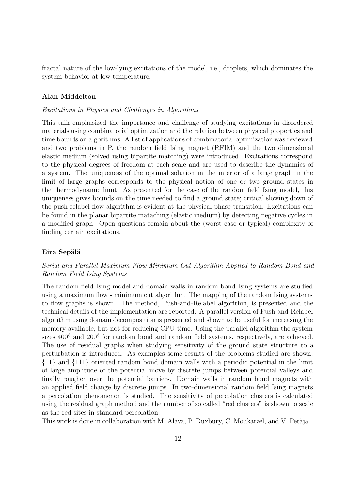fractal nature of the low-lying excitations of the model, i.e., droplets, which dominates the system behavior at low temperature.

#### Alan Middelton

#### Excitations in Physics and Challenges in Algorithms

This talk emphasized the importance and challenge of studying excitations in disordered materials using combinatorial optimization and the relation between physical properties and time bounds on algorithms. A list of applications of combinatorial optimization was reviewed and two problems in P, the random field Ising magnet (RFIM) and the two dimensional elastic medium (solved using bipartite matching) were introduced. Excitations correspond to the physical degrees of freedom at each scale and are used to describe the dynamics of a system. The uniqueness of the optimal solution in the interior of a large graph in the limit of large graphs corresponds to the physical notion of one or two ground states in the thermodynamic limit. As presented for the case of the random field Ising model, this uniqueness gives bounds on the time needed to find a ground state; critical slowing down of the push-relabel flow algorithm is evident at the physical phase transition. Excitations can be found in the planar bipartite mataching (elastic medium) by detecting negative cycles in a modified graph. Open questions remain about the (worst case or typical) complexity of finding certain excitations.

#### Eira Sepälä

#### Serial and Parallel Maximum Flow-Minimum Cut Algorithm Applied to Random Bond and Random Field Ising Systems

The random field Ising model and domain walls in random bond Ising systems are studied using a maximum flow - minimum cut algorithm. The mapping of the random Ising systems to flow graphs is shown. The method, Push-and-Relabel algorithm, is presented and the technical details of the implementation are reported. A parallel version of Push-and-Relabel algorithm using domain decomposition is presented and shown to be useful for increasing the memory available, but not for reducing CPU-time. Using the parallel algorithm the system sizes  $400^3$  and  $200^3$  for random bond and random field systems, respectively, are achieved. The use of residual graphs when studying sensitivity of the ground state structure to a perturbation is introduced. As examples some results of the problems studied are shown: {11} and {111} oriented random bond domain walls with a periodic potential in the limit of large amplitude of the potential move by discrete jumps between potential valleys and finally roughen over the potential barriers. Domain walls in random bond magnets with an applied field change by discrete jumps. In two-dimensional random field Ising magnets a percolation phenomenon is studied. The sensitivity of percolation clusters is calculated using the residual graph method and the number of so called "red clusters" is shown to scale as the red sites in standard percolation.

This work is done in collaboration with M. Alava, P. Duxbury, C. Moukarzel, and V. Petäjä.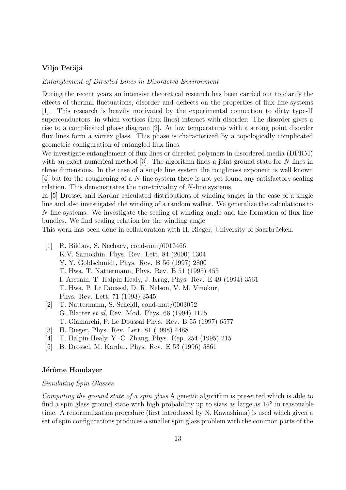#### Viljo Petäjä

Entanglement of Directed Lines in Disordered Environment

During the recent years an intensive theoretical research has been carried out to clarify the effects of thermal fluctuations, disorder and deffects on the properties of flux line systems [1]. This research is heavily motivated by the experimental connection to dirty type-II superconductors, in which vortices (flux lines) interact with disorder. The disorder gives a rise to a complicated phase diagram [2]. At low temperatures with a strong point disorder flux lines form a vortex glass. This phase is characterized by a topologically complicated geometric configuration of entangled flux lines.

We investigate entanglement of flux lines or directed polymers in disordered media (DPRM) with an exact numerical method [3]. The algorithm finds a joint ground state for N lines in three dimensions. In the case of a single line system the roughness exponent is well known [4] but for the roughening of a N-line system there is not yet found any satisfactory scaling relation. This demonstrates the non-triviality of N-line systems.

In [5] Drossel and Kardar calculated distributions of winding angles in the case of a single line and also investigated the winding of a random walker. We generalize the calculations to N-line systems. We investigate the scaling of winding angle and the formation of flux line bundles. We find scaling relation for the winding angle.

This work has been done in collaboration with H. Rieger, University of Saarbrücken.

- [1] R. Bikbov, S. Nechaev, cond-mat/0010466 K.V. Samokhin, Phys. Rev. Lett. 84 (2000) 1304 Y. Y. Goldschmidt, Phys. Rev. B 56 (1997) 2800 T. Hwa, T. Nattermann, Phys. Rev. B 51 (1995) 455 I. Arsenin, T. Halpin-Healy, J. Krug, Phys. Rev. E 49 (1994) 3561 T. Hwa, P. Le Doussal, D. R. Nelson, V. M. Vinokur, Phys. Rev. Lett. 71 (1993) 3545
- [2] T. Nattermann, S. Scheidl, cond-mat/0003052 G. Blatter et al, Rev. Mod. Phys. 66 (1994) 1125 T. Giamarchi, P. Le Doussal Phys. Rev. B 55 (1997) 6577
- [3] H. Rieger, Phys. Rev. Lett. 81 (1998) 4488
- [4] T. Halpin-Healy, Y.-C. Zhang, Phys. Rep. 254 (1995) 215
- [5] B. Drossel, M. Kardar, Phys. Rev. E 53 (1996) 5861

#### Jérôme Houdayer

#### Simulating Spin Glasses

Computing the ground state of a spin glass A genetic algorithm is presented which is able to find a spin glass ground state with high probability up to sizes as large as  $14<sup>3</sup>$  in reasonable time. A renormalization procedure (first introduced by N. Kawashima) is used which given a set of spin configurations produces a smaller spin glass problem with the common parts of the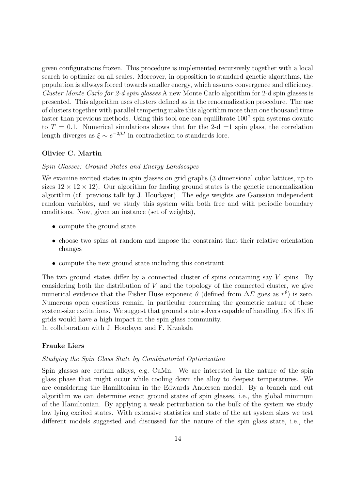given configurations frozen. This procedure is implemented recursively together with a local search to optimize on all scales. Moreover, in opposition to standard genetic algorithms, the population is allways forced towards smaller energy, which assures convergence and efficiency. Cluster Monte Carlo for 2-d spin glasses A new Monte Carlo algorithm for 2-d spin glasses is presented. This algorithm uses clusters defined as in the renormalization procedure. The use of clusters together with parallel tempering make this algorithm more than one thousand time faster than previous methods. Using this tool one can equilibrate  $100<sup>2</sup>$  spin systems downto to  $T = 0.1$ . Numerical simulations shows that for the 2-d  $\pm 1$  spin glass, the correlation length diverges as  $\xi \sim e^{-2\beta J}$  in contradiction to standards lore.

#### Olivier C. Martin

#### Spin Glasses: Ground States and Energy Landscapes

We examine excited states in spin glasses on grid graphs (3 dimensional cubic lattices, up to sizes  $12 \times 12 \times 12$ ). Our algorithm for finding ground states is the genetic renormalization algorithm (cf. previous talk by J. Houdayer). The edge weights are Gaussian independent random variables, and we study this system with both free and with periodic boundary conditions. Now, given an instance (set of weights),

- compute the ground state
- choose two spins at random and impose the constraint that their relative orientation changes
- compute the new ground state including this constraint

The two ground states differ by a connected cluster of spins containing say  $V$  spins. By considering both the distribution of  $V$  and the topology of the connected cluster, we give numerical evidence that the Fisher Huse exponent  $\theta$  (defined from  $\Delta E$  goes as  $r^{\theta}$ ) is zero. Numerous open questions remain, in particular concerning the geometric nature of these system-size excitations. We suggest that ground state solvers capable of handling  $15 \times 15 \times 15$ grids would have a high impact in the spin glass community. In collaboration with J. Houdayer and F. Krzakala

#### Frauke Liers

#### Studying the Spin Glass State by Combinatorial Optimization

Spin glasses are certain alloys, e.g. CuMn. We are interested in the nature of the spin glass phase that might occur while cooling down the alloy to deepest temperatures. We are considering the Hamiltonian in the Edwards Andersen model. By a branch and cut algorithm we can determine exact ground states of spin glasses, i.e., the global minimum of the Hamiltonian. By applying a weak perturbation to the bulk of the system we study low lying excited states. With extensive statistics and state of the art system sizes we test different models suggested and discussed for the nature of the spin glass state, i.e., the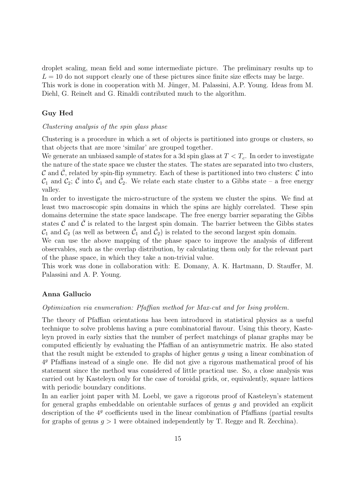droplet scaling, mean field and some intermediate picture. The preliminary results up to  $L = 10$  do not support clearly one of these pictures since finite size effects may be large. This work is done in cooperation with M. Jünger, M. Palassini, A.P. Young. Ideas from M. Diehl, G. Reinelt and G. Rinaldi contributed much to the algorithm.

#### Guy Hed

#### Clustering analysis of the spin glass phase

Clustering is a procedure in which a set of objects is partitioned into groups or clusters, so that objects that are more 'similar' are grouped together.

We generate an unbiased sample of states for a 3d spin glass at  $T < T_c$ . In order to investigate the nature of the state space we cluster the states. The states are separated into two clusters,  $\mathcal C$  and  $\bar{\mathcal C}$ , related by spin-flip symmetry. Each of these is partitioned into two clusters:  $\mathcal C$  into  $\mathcal{C}_1$  and  $\mathcal{C}_2$ ;  $\bar{\mathcal{C}}$  into  $\bar{\mathcal{C}}_1$  and  $\bar{\mathcal{C}}_2$ . We relate each state cluster to a Gibbs state – a free energy valley.

In order to investigate the micro-structure of the system we cluster the spins. We find at least two macroscopic spin domains in which the spins are highly correlated. These spin domains determine the state space landscape. The free energy barrier separating the Gibbs states  $\mathcal C$  and  $\mathcal C$  is related to the largest spin domain. The barrier between the Gibbs states  $\mathcal{C}_1$  and  $\mathcal{C}_2$  (as well as between  $\bar{\mathcal{C}}_1$  and  $\bar{\mathcal{C}}_2$ ) is related to the second largest spin domain.

We can use the above mapping of the phase space to improve the analysis of different observables, such as the overlap distribution, by calculating them only for the relevant part of the phase space, in which they take a non-trivial value.

This work was done in collaboration with: E. Domany, A. K. Hartmann, D. Stauffer, M. Palassini and A. P. Young.

#### Anna Gallucio

#### Optimization via enumeration: Pfaffian method for Max-cut and for Ising problem.

The theory of Pfaffian orientations has been introduced in statistical physics as a useful technique to solve problems having a pure combinatorial flavour. Using this theory, Kasteleyn proved in early sixties that the number of perfect matchings of planar graphs may be computed efficiently by evaluating the Pfaffian of an antisymmetric matrix. He also stated that the result might be extended to graphs of higher genus q using a linear combination of 4 <sup>g</sup> Pfaffians instead of a single one. He did not give a rigorous mathematical proof of his statement since the method was considered of little practical use. So, a close analysis was carried out by Kasteleyn only for the case of toroidal grids, or, equivalently, square lattices with periodic boundary conditions.

In an earlier joint paper with M. Loebl, we gave a rigorous proof of Kasteleyn's statement for general graphs embeddable on orientable surfaces of genus  $q$  and provided an explicit description of the  $4<sup>g</sup>$  coefficients used in the linear combination of Pfaffians (partial results for graphs of genus  $g > 1$  were obtained independently by T. Regge and R. Zecchina).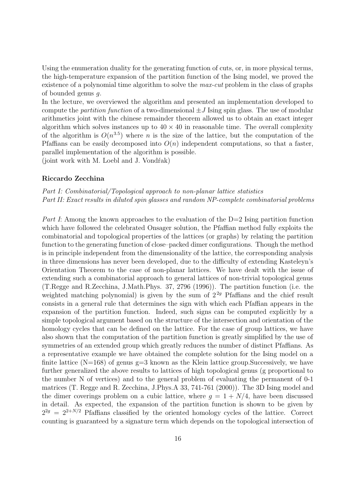Using the enumeration duality for the generating function of cuts, or, in more physical terms, the high-temperature expansion of the partition function of the Ising model, we proved the existence of a polynomial time algorithm to solve the *max-cut* problem in the class of graphs of bounded genus g.

In the lecture, we overviewed the algorithm and presented an implementation developed to compute the *partition function* of a two-dimensional  $\pm J$  Ising spin glass. The use of modular arithmetics joint with the chinese remainder theorem allowed us to obtain an exact integer algorithm which solves instances up to  $40 \times 40$  in reasonable time. The overall complexity of the algorithm is  $O(n^{3.5})$  where n is the size of the lattice, but the computation of the Pfaffians can be easily decomposed into  $O(n)$  independent computations, so that a faster, parallel implementation of the algorithm is possible.

(joint work with M. Loebl and J. Vondr<sup>ak)</sup>

#### Riccardo Zecchina

### Part I: Combinatorial/Topological approach to non-planar lattice statistics Part II: Exact results in diluted spin glasses and random NP-complete combinatorial problems

Part I: Among the known approaches to the evaluation of the  $D=2$  Ising partition function which have followed the celebrated Onsager solution, the Pfaffian method fully exploits the combinatorial and topological properties of the lattices (or graphs) by relating the partition function to the generating function of close–packed dimer configurations. Though the method is in principle independent from the dimensionality of the lattice, the corresponding analysis in three dimensions has never been developed, due to the difficulty of extending Kasteleyn's Orientation Theorem to the case of non-planar lattices. We have dealt with the issue of extending such a combinatorial approach to general lattices of non-trivial topological genus (T.Regge and R.Zecchina, J.Math.Phys. 37, 2796 (1996)). The partition function (i.e. the weighted matching polynomial) is given by the sum of  $2^{2g}$  Pfaffians and the chief result consists in a general rule that determines the sign with which each Pfaffian appears in the expansion of the partition function. Indeed, such signs can be computed explicitly by a simple topological argument based on the structure of the intersection and orientation of the homology cycles that can be defined on the lattice. For the case of group lattices, we have also shown that the computation of the partition function is greatly simplified by the use of symmetries of an extended group which greatly reduces the number of distinct Pfaffians. As a representative example we have obtained the complete solution for the Ising model on a finite lattice  $(N=168)$  of genus  $g=3$  known as the Klein lattice group. Successively, we have further generalized the above results to lattices of high topological genus (g proportional to the number N of vertices) and to the general problem of evaluating the permanent of 0-1 matrices (T. Regge and R. Zecchina, J.Phys.A 33, 741-761 (2000)). The 3D Ising model and the dimer coverings problem on a cubic lattice, where  $q = 1 + N/4$ , have been discussed in detail. As expected, the expansion of the partition function is shown to be given by  $2^{2g} = 2^{2+N/2}$  Pfaffians classified by the oriented homology cycles of the lattice. Correct counting is guaranteed by a signature term which depends on the topological intersection of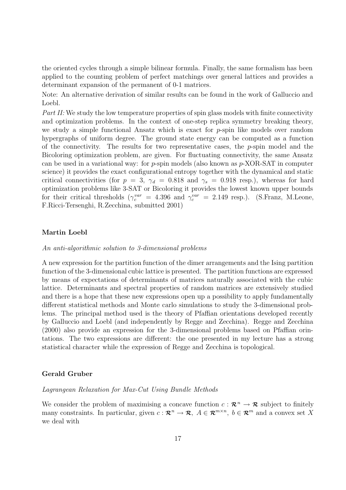the oriented cycles through a simple bilinear formula. Finally, the same formalism has been applied to the counting problem of perfect matchings over general lattices and provides a determinant expansion of the permanent of 0-1 matrices.

Note: An alternative derivation of similar results can be found in the work of Galluccio and Loebl.

Part II: We study the low temperature properties of spin glass models with finite connectivity and optimization problems. In the context of one-step replica symmetry breaking theory, we study a simple functional Ansatz which is exact for p-spin like models over random hypergraphs of uniform degree. The ground state energy can be computed as a function of the connectivity. The results for two representative cases, the  $p$ -spin model and the Bicoloring optimization problem, are given. For fluctuating connectivity, the same Ansatz can be used in a variational way: for  $p$ -spin models (also known as  $p$ -XOR-SAT in computer science) it provides the exact configurational entropy together with the dynamical and static critical connectivities (for  $p = 3$ ,  $\gamma_d = 0.818$  and  $\gamma_s = 0.918$  resp.), whereas for hard optimization problems like 3-SAT or Bicoloring it provides the lowest known upper bounds for their critical thresholds  $(\gamma_c^{var} = 4.396 \text{ and } \gamma_c^{var} = 2.149 \text{ resp.}).$  (S.Franz, M.Leone, F.Ricci-Tersenghi, R.Zecchina, submitted 2001)

#### Martin Loebl

#### An anti-algorithmic solution to 3-dimensional problems

A new expression for the partition function of the dimer arrangements and the Ising partition function of the 3-dimensional cubic lattice is presented. The partition functions are expressed by means of expectations of determinants of matrices naturally associated with the cubic lattice. Determinants and spectral properties of random matrices are extensively studied and there is a hope that these new expressions open up a possibility to apply fundamentally different statistical methods and Monte carlo simulations to study the 3-dimensional problems. The principal method used is the theory of Pfaffian orientations developed recently by Galluccio and Loebl (and independently by Regge and Zecchina). Regge and Zecchina (2000) also provide an expression for the 3-dimensional problems based on Pfaffian orintations. The two expressions are different: the one presented in my lecture has a strong statistical character while the expression of Regge and Zecchina is topological.

#### Gerald Gruber

#### Lagrangean Relaxation for Max-Cut Using Bundle Methods

We consider the problem of maximising a concave function  $c: \mathbb{R}^n \to \mathbb{R}$  subject to finitely many constraints. In particular, given  $c: \mathcal{R}^n \to \mathcal{R}, A \in \mathcal{R}^{m \times n}, b \in \mathcal{R}^m$  and a convex set X we deal with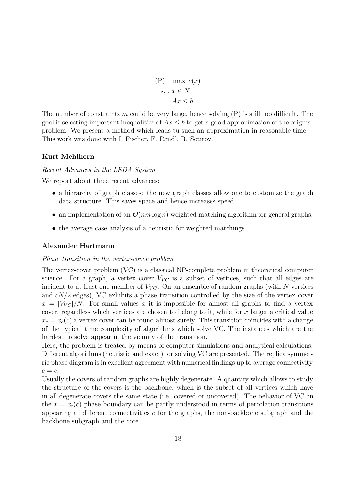$(P)$  max  $c(x)$ s.t.  $x \in X$  $Ax < b$ 

The number of constraints m could be very large, hence solving  $(P)$  is still too difficult. The goal is selecting important inequalities of  $Ax \leq b$  to get a good approximation of the original problem. We present a method which leads tu such an approximation in reasonable time. This work was done with I. Fischer, F. Rendl, R. Sotirov.

#### Kurt Mehlhorn

Recent Advances in the LEDA System

We report about three recent advances:

- a hierarchy of graph classes: the new graph classes allow one to customize the graph data structure. This saves space and hence increases speed.
- an implementation of an  $\mathcal{O}(nm \log n)$  weighted matching algorithm for general graphs.
- the average case analysis of a heuristic for weighted matchings.

#### Alexander Hartmann

#### Phase transition in the vertex-cover problem

The vertex-cover problem (VC) is a classical NP-complete problem in theoretical computer science. For a graph, a vertex cover  $V_{VC}$  is a subset of vertices, such that all edges are incident to at least one member of  $V_{VC}$ . On an ensemble of random graphs (with N vertices and  $cN/2$  edges), VC exhibits a phase transition controlled by the size of the vertex cover  $x = |V_{VC}|/N$ : For small values x it is impossible for almost all graphs to find a vertex cover, regardless which vertices are chosen to belong to it, while for  $x$  larger a critical value  $x_c = x_c(c)$  a vertex cover can be found almost surely. This transition coincides with a change of the typical time complexity of algorithms which solve VC. The instances which are the hardest to solve appear in the vicinity of the transition.

Here, the problem is treated by means of computer simulations and analytical calculations. Different algorithms (heuristic and exact) for solving VC are presented. The replica symmetric phase diagram is in excellent agreement with numerical findings up to average connectivity  $c = e$ .

Usually the covers of random graphs are highly degenerate. A quantity which allows to study the structure of the covers is the backbone, which is the subset of all vertices which have in all degenerate covers the same state (i.e. covered or uncovered). The behavior of VC on the  $x = x<sub>c</sub>(c)$  phase boundary can be partly understood in terms of percolation transitions appearing at different connectivities  $c$  for the graphs, the non-backbone subgraph and the backbone subgraph and the core.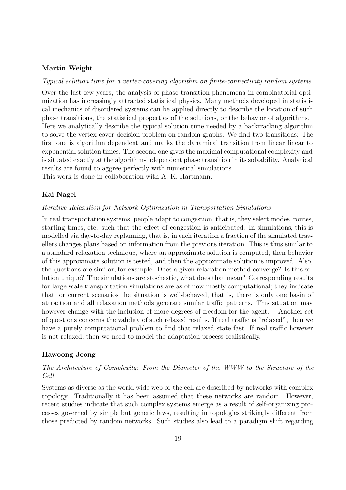#### Martin Weight

Typical solution time for a vertex-covering algorithm on finite-connectivity random systems

Over the last few years, the analysis of phase transition phenomena in combinatorial optimization has increasingly attracted statistical physics. Many methods developed in statistical mechanics of disordered systems can be applied directly to describe the location of such phase transitions, the statistical properties of the solutions, or the behavior of algorithms. Here we analytically describe the typical solution time needed by a backtracking algorithm to solve the vertex-cover decision problem on random graphs. We find two transitions: The first one is algorithm dependent and marks the dynamical transition from linear linear to exponential solution times. The second one gives the maximal computational complexity and is situated exactly at the algorithm-independent phase transition in its solvability. Analytical results are found to aggree perfectly with numerical simulations. This work is done in collaboration with A. K. Hartmann.

Kai Nagel

#### Iterative Relaxation for Network Optimization in Transportation Simulations

In real transportation systems, people adapt to congestion, that is, they select modes, routes, starting times, etc. such that the effect of congestion is anticipated. In simulations, this is modelled via day-to-day replanning, that is, in each iteration a fraction of the simulated travellers changes plans based on information from the previous iteration. This is thus similar to a standard relaxation technique, where an approximate solution is computed, then behavior of this approximate solution is tested, and then the approximate solution is improved. Also, the questions are similar, for example: Does a given relaxation method converge? Is this solution unique? The simulations are stochastic, what does that mean? Corresponding results for large scale transportation simulations are as of now mostly computational; they indicate that for current scenarios the situation is well-behaved, that is, there is only one basin of attraction and all relaxation methods generate similar traffic patterns. This situation may however change with the inclusion of more degrees of freedom for the agent. – Another set of questions concerns the validity of such relaxed results. If real traffic is "relaxed", then we have a purely computational problem to find that relaxed state fast. If real traffic however is not relaxed, then we need to model the adaptation process realistically.

#### Hawoong Jeong

### The Architecture of Complexity: From the Diameter of the WWW to the Structure of the Cell

Systems as diverse as the world wide web or the cell are described by networks with complex topology. Traditionally it has been assumed that these networks are random. However, recent studies indicate that such complex systems emerge as a result of self-organizing processes governed by simple but generic laws, resulting in topologies strikingly different from those predicted by random networks. Such studies also lead to a paradigm shift regarding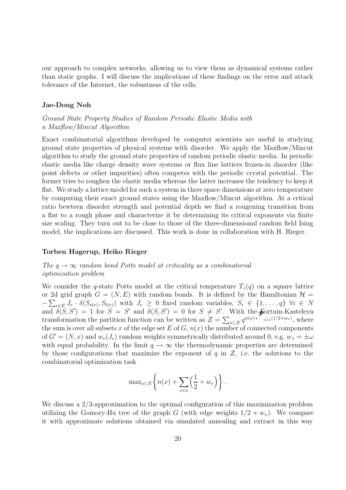our approach to complex networks, allowing us to view them as dynamical systems rather than static graphs. I will discuss the implications of these findings on the error and attack tolerance of the Internet, the robustness of the cells.

#### Jae-Dong Noh

Ground State Property Studies of Random Periodic Elastic Media with a Maxflow/Mincut Algorithm

Exact combinatorial algorithms developed by computer scientists are useful in studying ground state properties of physical systems with disorder. We apply the Maxflow/Mincut algorithm to study the ground state properties of random periodic elastic media. In periodic elastic media like charge density wave systems or flux line lattices frozen-in disorder (like point defects or other impurities) often competes with the periodic crystal potential. The former tries to roughen the elastic media whereas the latter increases the tendency to keep it flat. We study a lattice model for such a system in three space dimensions at zero temperature by computing their exact ground states using the Maxflow/Mincut algorithm. At a critical ratio bewteen disorder strength and potential depth we find a rougening transition from a flat to a rough phase and characterize it by determining its critical exponents via finite size scaling. They turn out to be close to those of the three-dimensional random field Ising model, the implications are discussed. This work is done in collaboration with H. Rieger.

#### Torben Hagerup, Heiko Rieger

#### The  $q \rightarrow \infty$  random bond Potts model at criticality as a combinatorial optimization problem

We consider the q-state Potts model at the critical temperature  $T_c(q)$  on a square lattice or 2d grid graph  $G = (N, E)$  with random bonds. It is defined by the Hamiltonian  $\mathcal{H} =$  $-\sum_{e\in E}J_e\cdot \delta(S_{s(e)},S_{t(e)})$  with  $J_e\geq 0$  fixed random variables,  $S_i \in \{1,\ldots,q\}$   $\forall i \in N$ and  $\delta(S, S') = 1$  for  $S = S'$  and  $\delta(S, S') = 0$  for  $S \neq S'$ . With the **F**ortuin-Kasteleyn and  $\delta(S, S') = 1$  for  $S = S'$  and  $\delta(S, S') = 0$  for  $S \neq S'$ . With the **p**ortuin-Kasteleyn transformation the partition function can be written as  $\mathcal{Z} = \sum_{x \in E} q^{n(x)+1} e^{-\sum_{x \in E} q^{n(x)+1}}$ , where the sum is over all subsets x of the edge set E of G,  $n(x)$  the number of connected components of  $G' = (N, x)$  and  $w_e(J_e)$  random weights symmetrically distributed around 0, e.g.  $w_e = \pm \omega$ with equal probability. In the limit  $q \to \infty$  the thermodynamic properties are determined by those configurations that maximize the exponent of q in  $\mathcal{Z}$ , i.e. the solutions to the combinatorial optimization task

$$
\max_{x \in E} \left\{ n(x) + \sum_{e \in x} \left( \frac{1}{2} + w_e \right) \right\}.
$$

We discuss a 2/3-approximation to the optimal configuration of this maximization problem utilizing the Gomory-Hu tree of the graph G (with edge weights  $1/2 + w_e$ ). We compare it with approximate solutions obtained via simulated annealing and extract in this way